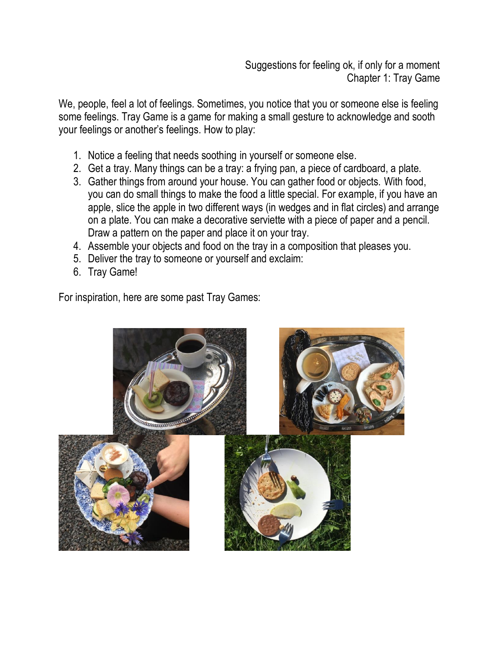Suggestions for feeling ok, if only for a moment Chapter 1: Tray Game

We, people, feel a lot of feelings. Sometimes, you notice that you or someone else is feeling some feelings. Tray Game is a game for making a small gesture to acknowledge and sooth your feelings or another's feelings. How to play:

- 1. Notice a feeling that needs soothing in yourself or someone else.
- 2. Get a tray. Many things can be a tray: a frying pan, a piece of cardboard, a plate.
- 3. Gather things from around your house. You can gather food or objects. With food, you can do small things to make the food a little special. For example, if you have an apple, slice the apple in two different ways (in wedges and in flat circles) and arrange on a plate. You can make a decorative serviette with a piece of paper and a pencil. Draw a pattern on the paper and place it on your tray.
- 4. Assemble your objects and food on the tray in a composition that pleases you.
- 5. Deliver the tray to someone or yourself and exclaim:
- 6. Tray Game!

For inspiration, here are some past Tray Games: